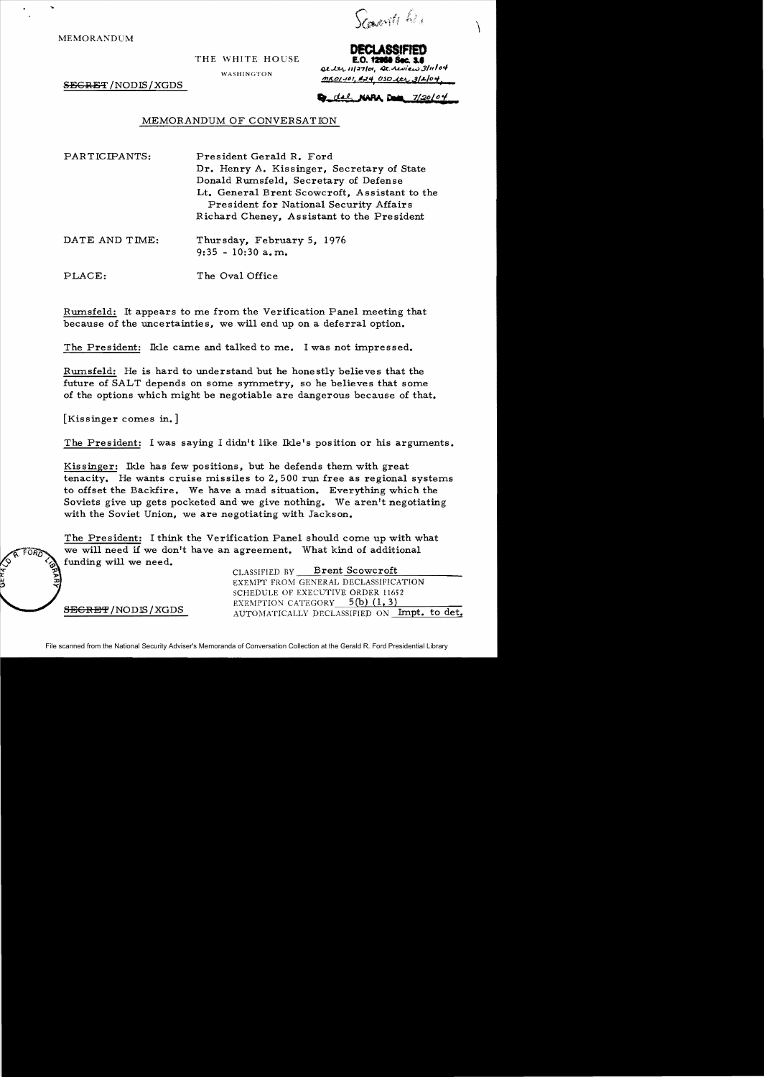**MEMORANDUM** 

*Vanile lie* 

THE WHITE HOUSE

WASHINGTON

SEGRET / NODIS / XGDS

**E.O. 12964 Sec. 3.6** arter 11/27/01, At review 3/11/04  $MLO1-101$ ,  $M24$   $OSD$   $A27$ ,  $3/2/04$ 

 $del$  NARA Dum  $7/20104$ 

## MEMORANDUM OF CONVERSATION

PAR TICIPANTS: President Gerald R. Ford Dr. Henry A. Kissinger, Secretary of State Donald Rwnsfeld, Secretary of Defense Lt. General Brent Scowcroft, Assistant to the President for National Security Affairs Richard Cheney, Assistant to the President

DATE AND TIME: Thursday, February 5, 1976 9:35 - 10:30 a. m.

PLACE: The Oval Office

Rwnsfeld: It appears to me from the Verification Panel meeting that because of the uncertaintie s, we will end up on a deferral option.

The President: Ikle came and talked to me. I was not impressed.

Rwnsfeld: He is hard to understand but he honestly believes that the future of SALT depends on some symmetry, so he believes that some of the options which might be negotiable are dangerous because of that.

[Kissinger comes in.]

The President: I was saying I didn't like Ikle's position or his arguments.

Kissinger: Ikle has few positions, but he defends them with great tenacity. He wants cruise missiles to 2,500 run free as regional systems to offset the Backfire. We have a mad situation. Everything which the Soviets give up gets pocketed and we give nothing. We aren't negotiating with the Soviet Union, we are negotiating with Jackson.

The President: I think the Verification Panel should come up with what we will need if we don't have an agreement. What kind of additional funding will we need.

CLASSIFIED BY Brent Scowcroft EXEMPT FROM GENERAL DECLASSIFICATION SCHEDULE OF EXECUTIVE ORDER 11652 EXEMPTION CATEGORY  $=$  5(b) (1, 3) SECRET/NODIS/XGDS AUTOMATICALLY DECLASSIFIED ON Impt. to det.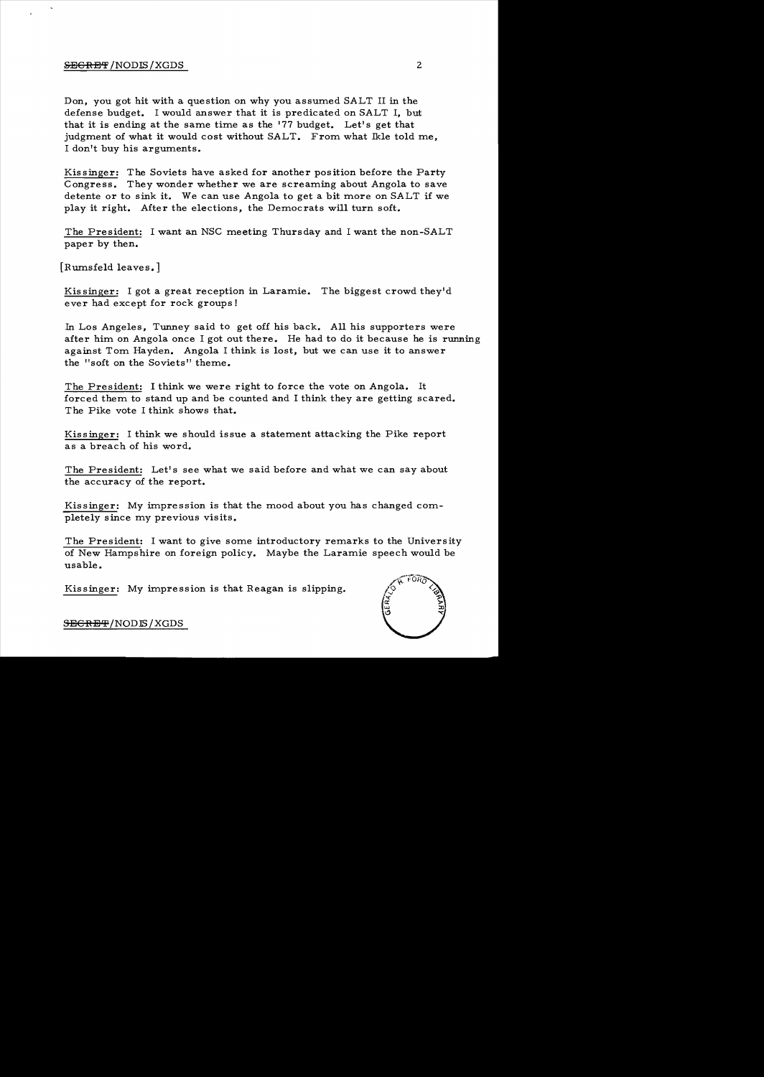## S<del>EGRET</del> /NODIS / XGDS 2

Don, you got hit with a question on why you assumed SALT II in the defense budget. I would answer that it is predicated on SALT I, but that it is ending at the same time as the' 77 budget. Let's get that judgment of what it would cost without SALT. From what Ikle told me, I don't buy his arguments.

Kissinger: The Soviets have asked for another position before the Party Congress. They wonder whether we are screaming about Angola to save detente or to sink it. We can use Angola to get a bit more on SALT if we play it right. After the elections, the Democrats will turn soft.

The President: I want an NSC meeting Thursday and I want the non-SALT paper by then.

[Rumsfeld leaves.]

Kissinger: I got a great reception in Laramie. The biggest crowd they'd ever had except for rock groups!

In Los Angeles, Tunney said to get off his back. All his supporters were after him on Angola once I got out there. He had to do it because he is running against Tom Hayden. Angola I think is lost, but we can use it to answer the "soft on the Soviets" theme.

The President: I think we were right to force the vote on Angola. It forced them to stand up and be counted and I think they are getting scared. The Pike vote I think shows that.

Kissinger: I think we should issue a statement attacking the Pike report as a breach of his word.

The President: Let's see what we said before and what we can say about the accuracy of the report.

Kissinger: My impression is that the mood about you has changed completely since my previous visits.

The President: I want to give some introductory remarks to the University of New Hampshire on foreign policy. Maybe the Laramie speech would be usable.

Kissinger: My impression is that Reagan is slipping.



SEGRET/NODLS/XGDS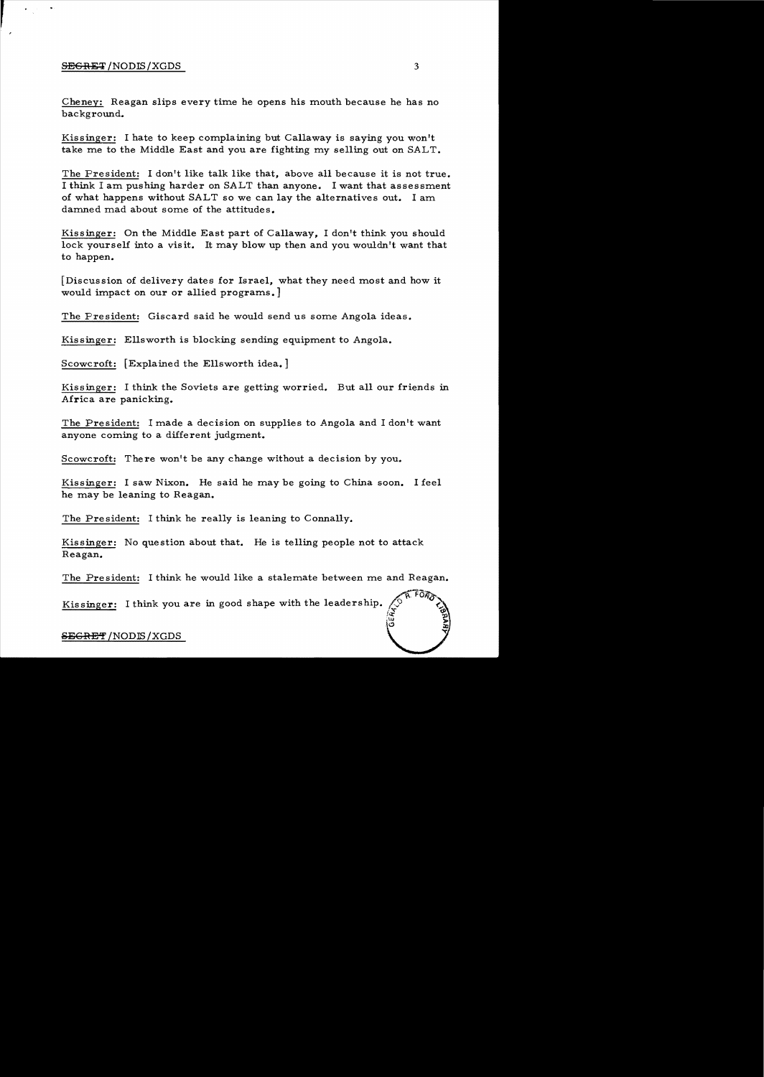## S<del>ECRET</del> /NODIS/XGDS 3

 $\frac{1}{2}$ 

Cheney: Reagan slips every time he opens his mouth because he has no background.

Kissinger: I hate to keep complaining but Callaway is saying you won't take me to the Middle East and you are fighting my selling out on SALT.

The President: I don't like talk like that, above all because it is not true. I think I am pushing harder on SALT than anyone. I want that assessment of what happens without SALT so we can lay the alternatives out. I am damned mad about some of the attitudes.

Kissinger: On the Middle East part of Callaway, I don't think you should lock yourself into a visit. It may blow up then and you wouldn't want that to happen.

[Discussion of delivery dates for Israel, what they need most and how it would impact on our or allied programs. ]

The President: Giscard said he would send us some Angola ideas.

Kissinger: Ellsworth is blocking sending equipment to Angola.

Scowcroft: [Explained the Ellsworth idea. ]

Kissinger: I think the Soviets are getting worried. But all our friends in Africa are panicking.

The President: I made a decision on supplies to Angola and I don't want anyone coming to a different judgment.

Scowcroft: There won't be any change without a decision by you.

Kissinger: I saw Nixon. He said he may be going to China soon. I feel he may be leaning to Reagan.

The President: I think he really is leaning to Connally.

Kissinger: No question about that. He is telling people not to attack Reagan.

The President: I think he would like a stalemate between me and Reagan.

 $4F\overline{G}$ Kissinger: I think you are in good shape with the leadership. tv:

Ia: ~tu  $\overline{\mathbf{C}}$ 

## ${\bf s}$ EGR ${\bf E}$ T ${\bf f}$  /NODIS / XGDS  ${\bf s}$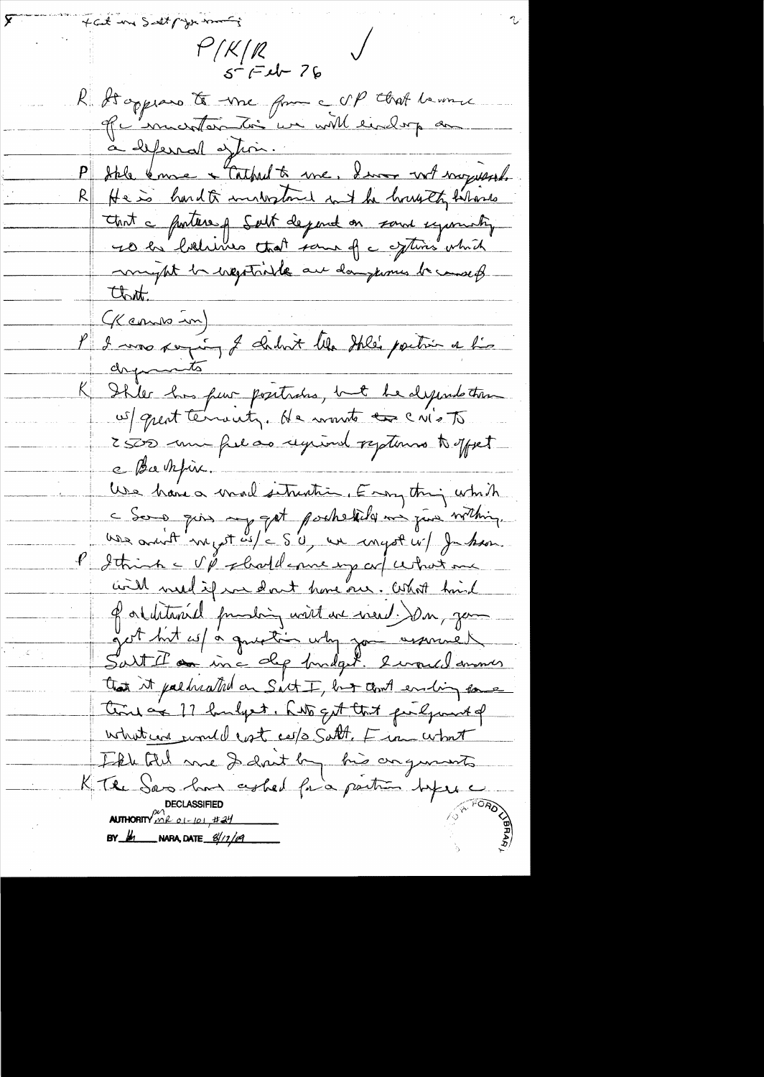fait me satt paper mont  $f'/K/R$  $5 - (-1) - 76$ R Stappeard te vine from c UP that heronne à beferral à time Stele know + Cathed to me, I was not mysessed. He is hard to investment int he housets behoves  $\underline{\mathsf{R}}\Vert$ that a porter of Solt depend on said symmaty ro la bolline that same of a oftens which myst la vegetable au dangerous la court Clott. of cours in)<br>l'I avre reprince l'abrit libre their partie et lis K Shler has puir positraires, int he depends tour us quest terronity. He wont to cris To 2500 min fre as regional reptions to yout e Bachfin. Use have a mail setrention. Enoughing which c dong quis my got pockedid me jud withing. use avoit myst us/c S'0, we conget u/ Jakon. l'Ithink - V & short d'enne imp auf certains me <u>will weld if we don't have one. What hind</u> of orthtaniel produing with we went in your set hut es/ à question why you assumed Sait Il an inc dep fundat. I would answer that it pallriated on Sict I, but could ending force tine or 17 hunders, hits get that purlyment of what was would east ces/s Satt, Fin what The till me I dont by his organists KThe Sas has ceshed from partir hypere DECLASSIFIED<br>AUTHORITY ALL 01-101, #24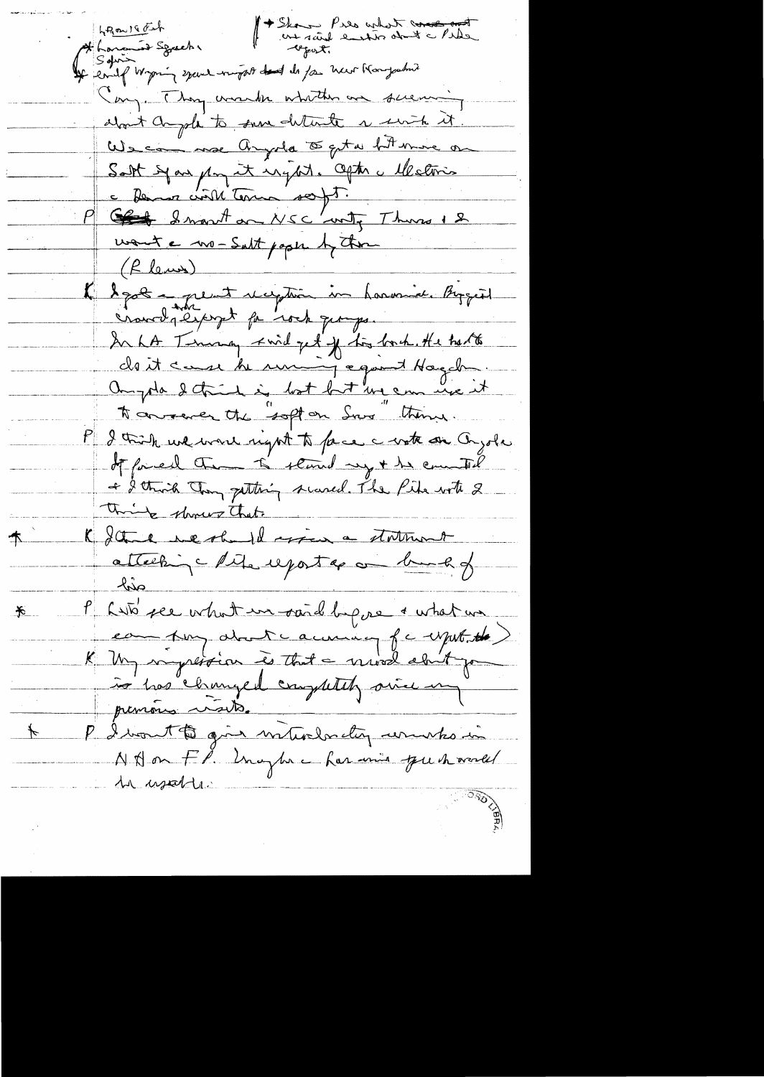1 Skou Pres what constant 4 hours of Spacks 1 there Pres what to Vay. They wanter whitten are surving about anyole to sure deterte a serite it We can me Arysle to get a fit more or Satt syan pay it un port. Opter a elle times a former civil terme sont. wont a no-Salt paper by them (Rlena) K legat a peut reception in harmier Bizguet crowds except for rock george. In hA Thursday kind get if his book. He had to cloit case de unique quit Hagch ampta detient in both but un em use it to convent the "soft on Sure" thing. I trink we want night to face a water on Onzola If forced the to stand my + he counted + I think they getting scened. The Pide with 2 think shows that K I think we should spen a statement  $\mathcal{T}_$ atteching lite exporter on bund of P Laté per vehich un said biens a what was  $\bigstar$ La mes proposition à that a newslag of caput the prenons visits. P divont ti gin interdentin universion  $\overline{\mathcal{F}}$ N Don Fl. Unaphre har unio que havall In usable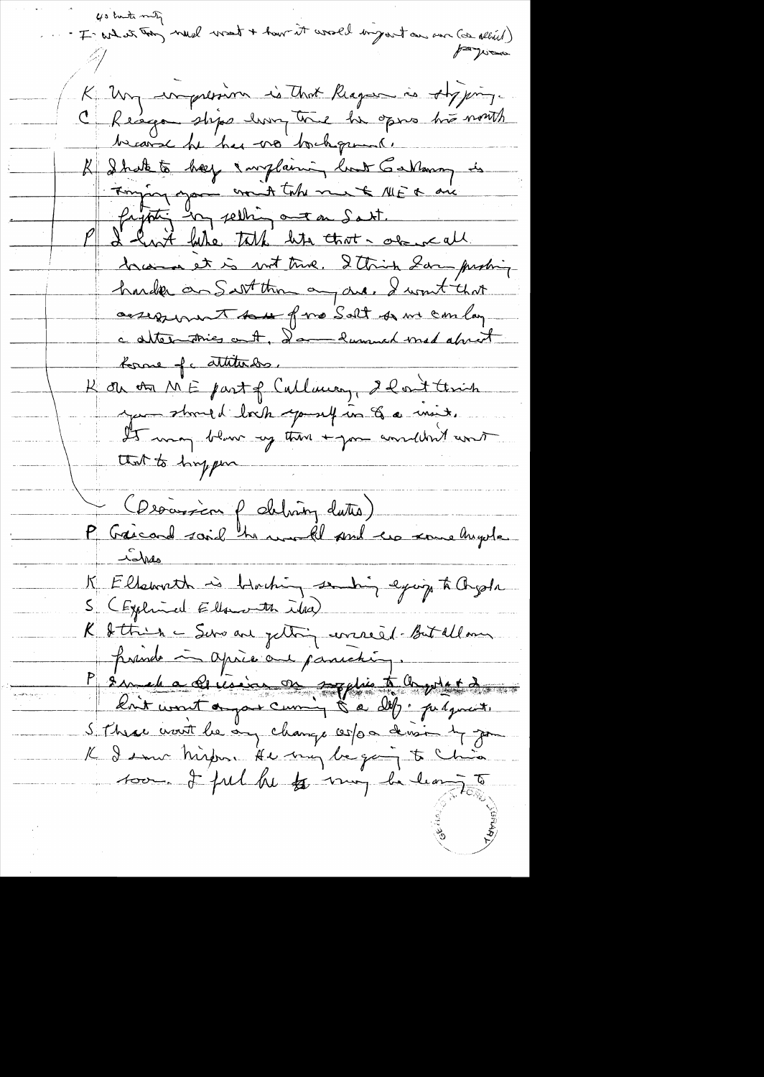40 tute miti .<br>In what toon much want + have it would imposit an our (or albiel) 40 houts milig K Un inpression is that Reagan is Aby jums. C Reagon stops how the he opens his nowth because he has no background. K I hate to help I williaming load Garlanon is Tomping you won't take me & MER are brain et is not true. Ittrick Sar probing harder an Sart thin any are, I won't that assezent to of me Solt of me con lay c alternatives out, I am hummed med about borne of attitudes. Hi on on ME part of Culliving, 2 Post think you stand d'Irch yourself in Ge mit. It was blown up then + you wouldn't court that to hyper Cleanisin plating dates) hopes K Ellsworth is blacking sending eyeige to Orgota S (Explorance Ellanorth idea) K Sttrin - Servant petting errered but allam prends in après au paniching. P sur el a de vision on supplie to Orgente du ر وه بود به هند بو<br>م S. Phrac wort le any change cerps devision by good K I sur Mindre He my began to Chia 100 - I ful he to my he leaves to